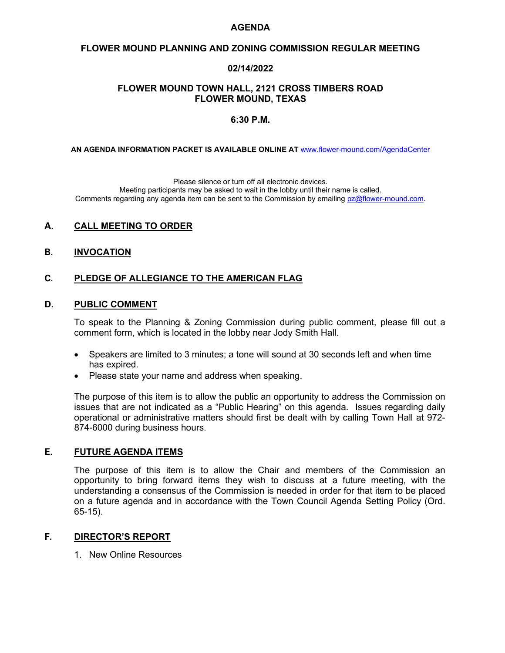## **AGENDA**

### **FLOWER MOUND PLANNING AND ZONING COMMISSION REGULAR MEETING**

## **02/14/2022**

## **FLOWER MOUND TOWN HALL, 2121 CROSS TIMBERS ROAD FLOWER MOUND, TEXAS**

#### **6:30 P.M.**

**AN AGENDA INFORMATION PACKET IS AVAILABLE ONLINE AT** [www.flower-mound.com/AgendaCenter](http://www.flower-mound.com/AgendaCenter)

Please silence or turn off all electronic devices.

Meeting participants may be asked to wait in the lobby until their name is called. Comments regarding any agenda item can be sent to the Commission by emailing [pz@flower-mound.com.](mailto:pz@flower-mound.com)

## **A. CALL MEETING TO ORDER**

**B. INVOCATION**

# **C. PLEDGE OF ALLEGIANCE TO THE AMERICAN FLAG**

## **D. PUBLIC COMMENT**

To speak to the Planning & Zoning Commission during public comment, please fill out a comment form, which is located in the lobby near Jody Smith Hall.

- Speakers are limited to 3 minutes; a tone will sound at 30 seconds left and when time has expired.
- Please state your name and address when speaking.

The purpose of this item is to allow the public an opportunity to address the Commission on issues that are not indicated as a "Public Hearing" on this agenda. Issues regarding daily operational or administrative matters should first be dealt with by calling Town Hall at 972- 874-6000 during business hours.

## **E. FUTURE AGENDA ITEMS**

The purpose of this item is to allow the Chair and members of the Commission an opportunity to bring forward items they wish to discuss at a future meeting, with the understanding a consensus of the Commission is needed in order for that item to be placed on a future agenda and in accordance with the Town Council Agenda Setting Policy (Ord. 65-15).

## **F. DIRECTOR'S REPORT**

1. New Online Resources